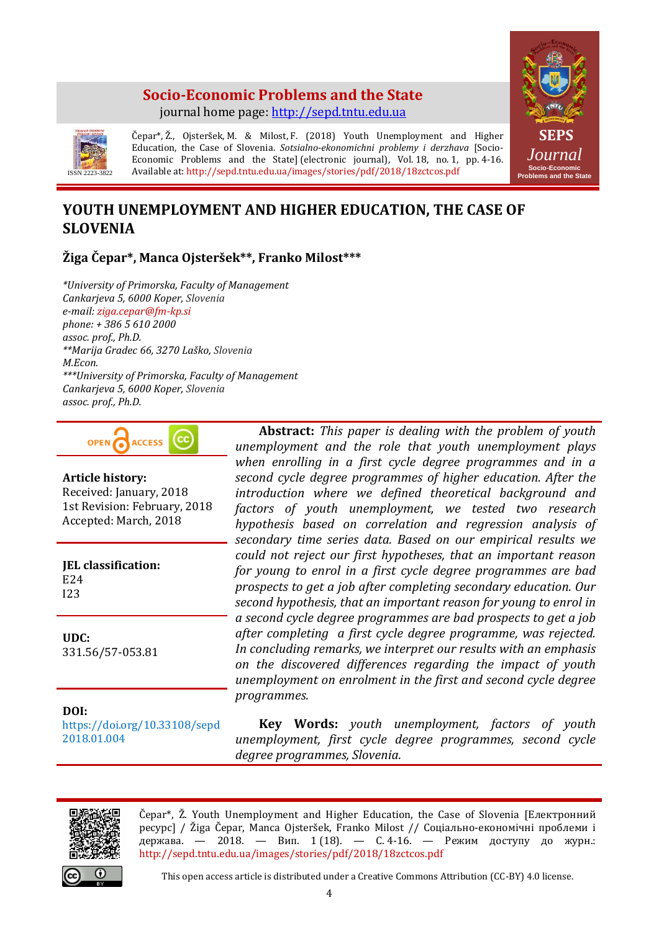# **Socio-Economic Problems and the State** journal home page: [http://sepd.tntu.edu.ua](http://sepd.tntu.edu.ua/)





Čepar\*, Ž., Ojsteršek, M. & Milost, F. (2018) Youth Unemployment and Higher Education, the Case of Slovenia. *Sotsialno-ekonomichni problemy i derzhava* [Socio-Economic Problems and the State] (electronic journal), Vol. 18, no. 1, pp. 4-16. Available at: http://sepd.tntu.edu.ua/images/stories/pdf/2018/18zctcos.pdf

# **YOUTH UNEMPLOYMENT AND HIGHER EDUCATION, THE CASE OF SLOVENIA**

# **Žiga Čepar\*, Manca Ojsteršek\*\*, Franko Milost\*\*\***

*\*University of Primorska, Faculty of Management Cankarjeva 5, 6000 Koper, Slovenia e-mail: ziga.cepar@fm-kp.si phone: + 386 5 610 2000 assoc. prof., Ph.D. \*\*Marija Gradec 66, 3270 Laško, Slovenia M.Econ. \*\*\*University of Primorska, Faculty of Management Cankarjeva 5, 6000 Koper, Slovenia assoc. prof., Ph.D.*



#### **Article history:**

Received: January, 2018 1st Revision: February, 2018 Accepted: March, 2018

**JEL classification:** E24 I23

**UDC:** 331.56/57-053.81

**DOI:**  https://doi.org/10.33108/sepd 2018.01.004

**Abstract:** *This paper is dealing with the problem of youth unemployment and the role that youth unemployment plays when enrolling in a first cycle degree programmes and in a second cycle degree programmes of higher education. After the introduction where we defined theoretical background and factors of youth unemployment, we tested two research hypothesis based on correlation and regression analysis of secondary time series data. Based on our empirical results we could not reject our first hypotheses, that an important reason for young to enrol in a first cycle degree programmes are bad prospects to get a job after completing secondary education. Our second hypothesis, that an important reason for young to enrol in a second cycle degree programmes are bad prospects to get a job after completing a first cycle degree programme, was rejected. In concluding remarks, we interpret our results with an emphasis on the discovered differences regarding the impact of youth unemployment on enrolment in the first and second cycle degree programmes.*

**Key Words:** *youth unemployment, factors of youth unemployment, first cycle degree programmes, second cycle degree programmes, Slovenia.*



Čepar\*, Ž. Youth Unemployment and Higher Education, the Case of Slovenia [Електронний ресурс] / Žiga Čepar, Manca Ojsteršek, Franko Milost // Соціально-економічні проблеми і держава. — 2018. — Вип. 1 (18). — С. 4-16. — Режим доступу до журн.: http://sepd.tntu.edu.ua/images/stories/pdf/2018/18zctcos.pdf

This open access article is distributed under a Creative Commons Attribution (CC-BY) 4.0 license.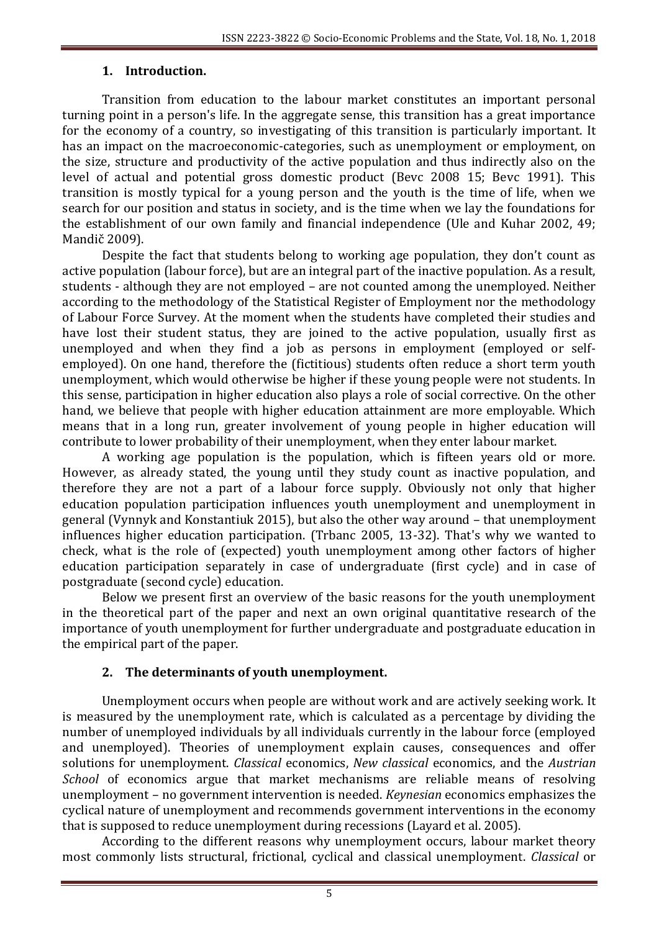## **1. Introduction.**

Transition from education to the labour market constitutes an important personal turning point in a person's life. In the aggregate sense, this transition has a great importance for the economy of a country, so investigating of this transition is particularly important. It has an impact on the macroeconomic-categories, such as unemployment or employment, on the size, structure and productivity of the active population and thus indirectly also on the level of actual and potential gross domestic product (Bevc 2008 15; Bevc 1991). This transition is mostly typical for a young person and the youth is the time of life, when we search for our position and status in society, and is the time when we lay the foundations for the establishment of our own family and financial independence (Ule and Kuhar 2002, 49; Mandič 2009).

Despite the fact that students belong to working age population, they don't count as active population (labour force), but are an integral part of the inactive population. As a result, students - although they are not employed – are not counted among the unemployed. Neither according to the methodology of the Statistical Register of Employment nor the methodology of Labour Force Survey. At the moment when the students have completed their studies and have lost their student status, they are joined to the active population, usually first as unemployed and when they find a job as persons in employment (employed or selfemployed). On one hand, therefore the (fictitious) students often reduce a short term youth unemployment, which would otherwise be higher if these young people were not students. In this sense, participation in higher education also plays a role of social corrective. On the other hand, we believe that people with higher education attainment are more employable. Which means that in a long run, greater involvement of young people in higher education will contribute to lower probability of their unemployment, when they enter labour market.

A working age population is the population, which is fifteen years old or more. However, as already stated, the young until they study count as inactive population, and therefore they are not a part of a labour force supply. Obviously not only that higher education population participation influences youth unemployment and unemployment in general (Vynnyk and Konstantiuk 2015), but also the other way around – that unemployment influences higher education participation. (Trbanc 2005, 13-32). That's why we wanted to check, what is the role of (expected) youth unemployment among other factors of higher education participation separately in case of undergraduate (first cycle) and in case of postgraduate (second cycle) education.

Below we present first an overview of the basic reasons for the youth unemployment in the theoretical part of the paper and next an own original quantitative research of the importance of youth unemployment for further undergraduate and postgraduate education in the empirical part of the paper.

# **2. The determinants of youth unemployment.**

Unemployment occurs when people are without work and are actively seeking work. It is measured by the unemployment rate, which is calculated as a percentage by dividing the number of unemployed individuals by all individuals currently in the labour force (employed and unemployed). Theories of unemployment explain causes, consequences and offer solutions for unemployment. *Classical* economics, *New classical* economics, and the *Austrian School* of economics argue that market mechanisms are reliable means of resolving unemployment – no government intervention is needed. *Keynesian* economics emphasizes the cyclical nature of unemployment and recommends government interventions in the economy that is supposed to reduce unemployment during recessions (Layard et al. 2005).

According to the different reasons why unemployment occurs, labour market theory most commonly lists structural, frictional, cyclical and classical unemployment. *Classical* or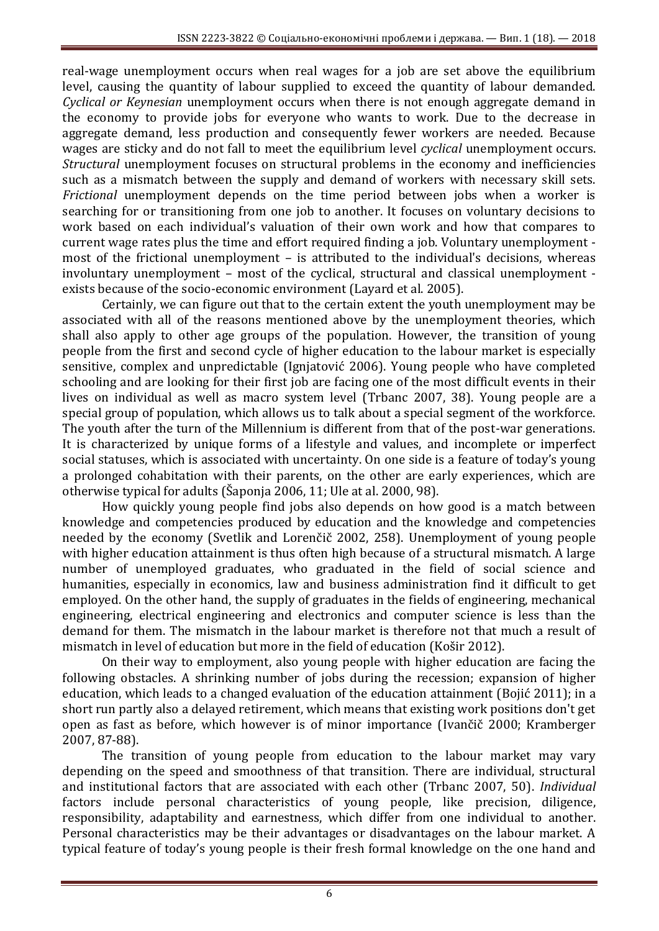real-wage unemployment occurs when real wages for a job are set above the equilibrium level, causing the quantity of labour supplied to exceed the quantity of labour demanded. *Cyclical or Keynesian* unemployment occurs when there is not enough aggregate demand in the economy to provide jobs for everyone who wants to work. Due to the decrease in aggregate demand, less production and consequently fewer workers are needed. Because wages are sticky and do not fall to meet the equilibrium level *cyclical* unemployment occurs. *Structural* unemployment focuses on structural problems in the economy and inefficiencies such as a mismatch between the supply and demand of workers with necessary skill sets. *Frictional* unemployment depends on the time period between jobs when a worker is searching for or transitioning from one job to another. It focuses on voluntary decisions to work based on each individual's valuation of their own work and how that compares to current wage rates plus the time and effort required finding a job. Voluntary unemployment most of the frictional unemployment – is attributed to the individual's decisions, whereas involuntary unemployment – most of the cyclical, structural and classical unemployment exists because of the socio-economic environment (Layard et al. 2005).

Certainly, we can figure out that to the certain extent the youth unemployment may be associated with all of the reasons mentioned above by the unemployment theories, which shall also apply to other age groups of the population. However, the transition of young people from the first and second cycle of higher education to the labour market is especially sensitive, complex and unpredictable (Ignjatović 2006). Young people who have completed schooling and are looking for their first job are facing one of the most difficult events in their lives on individual as well as macro system level (Trbanc 2007, 38). Young people are a special group of population, which allows us to talk about a special segment of the workforce. The youth after the turn of the Millennium is different from that of the post-war generations. It is characterized by unique forms of a lifestyle and values, and incomplete or imperfect social statuses, which is associated with uncertainty. On one side is a feature of today's young a prolonged cohabitation with their parents, on the other are early experiences, which are otherwise typical for adults (Šaponja 2006, 11; Ule at al. 2000, 98).

How quickly young people find jobs also depends on how good is a match between knowledge and competencies produced by education and the knowledge and competencies needed by the economy (Svetlik and Lorenčič 2002, 258). Unemployment of young people with higher education attainment is thus often high because of a structural mismatch. A large number of unemployed graduates, who graduated in the field of social science and humanities, especially in economics, law and business administration find it difficult to get employed. On the other hand, the supply of graduates in the fields of engineering, mechanical engineering, electrical engineering and electronics and computer science is less than the demand for them. The mismatch in the labour market is therefore not that much a result of mismatch in level of education but more in the field of education (Košir 2012).

On their way to employment, also young people with higher education are facing the following obstacles. A shrinking number of jobs during the recession; expansion of higher education, which leads to a changed evaluation of the education attainment (Bojić 2011); in a short run partly also a delayed retirement, which means that existing work positions don't get open as fast as before, which however is of minor importance (Ivančič 2000; Kramberger 2007, 87-88).

The transition of young people from education to the labour market may vary depending on the speed and smoothness of that transition. There are individual, structural and institutional factors that are associated with each other (Trbanc 2007, 50). *Individual* factors include personal characteristics of young people, like precision, diligence, responsibility, adaptability and earnestness, which differ from one individual to another. Personal characteristics may be their advantages or disadvantages on the labour market. A typical feature of today's young people is their fresh formal knowledge on the one hand and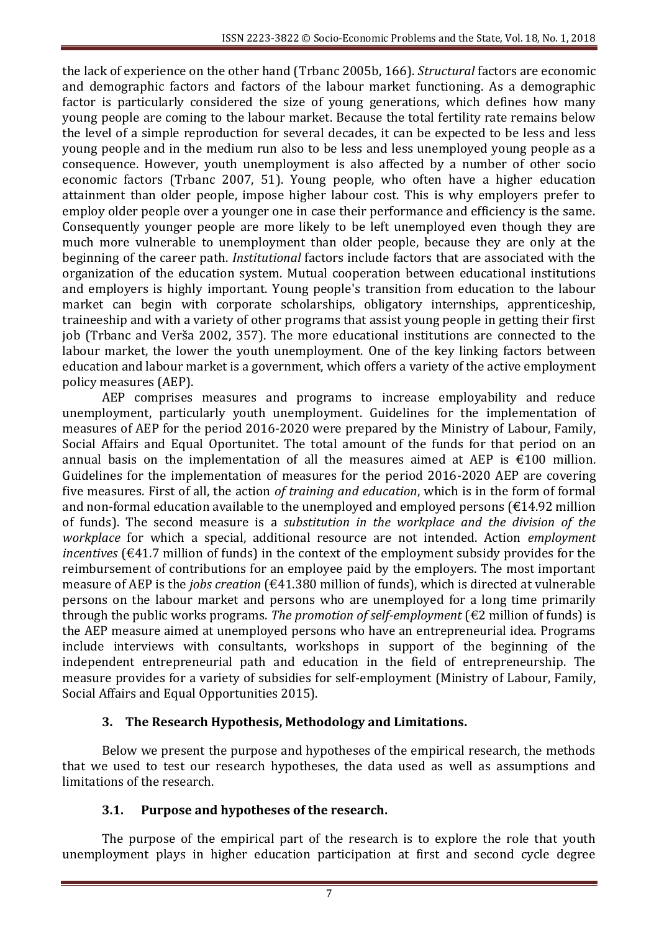the lack of experience on the other hand (Trbanc 2005b, 166). *Structural* factors are economic and demographic factors and factors of the labour market functioning. As a demographic factor is particularly considered the size of young generations, which defines how many young people are coming to the labour market. Because the total fertility rate remains below the level of a simple reproduction for several decades, it can be expected to be less and less young people and in the medium run also to be less and less unemployed young people as a consequence. However, youth unemployment is also affected by a number of other socio economic factors (Trbanc 2007, 51). Young people, who often have a higher education attainment than older people, impose higher labour cost. This is why employers prefer to employ older people over a younger one in case their performance and efficiency is the same. Consequently younger people are more likely to be left unemployed even though they are much more vulnerable to unemployment than older people, because they are only at the beginning of the career path. *Institutional* factors include factors that are associated with the organization of the education system. Mutual cooperation between educational institutions and employers is highly important. Young people's transition from education to the labour market can begin with corporate scholarships, obligatory internships, apprenticeship, traineeship and with a variety of other programs that assist young people in getting their first job (Trbanc and Verša 2002, 357). The more educational institutions are connected to the labour market, the lower the youth unemployment. One of the key linking factors between education and labour market is a government, which offers a variety of the active employment policy measures (AEP).

AEP comprises measures and programs to increase employability and reduce unemployment, particularly youth unemployment. Guidelines for the implementation of measures of AEP for the period 2016-2020 were prepared by the Ministry of Labour, Family, Social Affairs and Equal Oportunitet. The total amount of the funds for that period on an annual basis on the implementation of all the measures aimed at AEP is  $\epsilon$ 100 million. Guidelines for the implementation of measures for the period 2016-2020 AEP are covering five measures. First of all, the action *of training and education*, which is in the form of formal and non-formal education available to the unemployed and employed persons ( $\epsilon$ 14.92 million of funds). The second measure is a *substitution in the workplace and the division of the workplace* for which a special, additional resource are not intended. Action *employment incentives* (€41.7 million of funds) in the context of the employment subsidy provides for the reimbursement of contributions for an employee paid by the employers. The most important measure of AEP is the *jobs creation* (€41.380 million of funds), which is directed at vulnerable persons on the labour market and persons who are unemployed for a long time primarily through the public works programs. *The promotion of self-employment* (€2 million of funds) is the AEP measure aimed at unemployed persons who have an entrepreneurial idea. Programs include interviews with consultants, workshops in support of the beginning of the independent entrepreneurial path and education in the field of entrepreneurship. The measure provides for a variety of subsidies for self-employment (Ministry of Labour, Family, Social Affairs and Equal Opportunities 2015).

# **3. The Research Hypothesis, Methodology and Limitations.**

Below we present the purpose and hypotheses of the empirical research, the methods that we used to test our research hypotheses, the data used as well as assumptions and limitations of the research.

# **3.1. Purpose and hypotheses of the research.**

The purpose of the empirical part of the research is to explore the role that youth unemployment plays in higher education participation at first and second cycle degree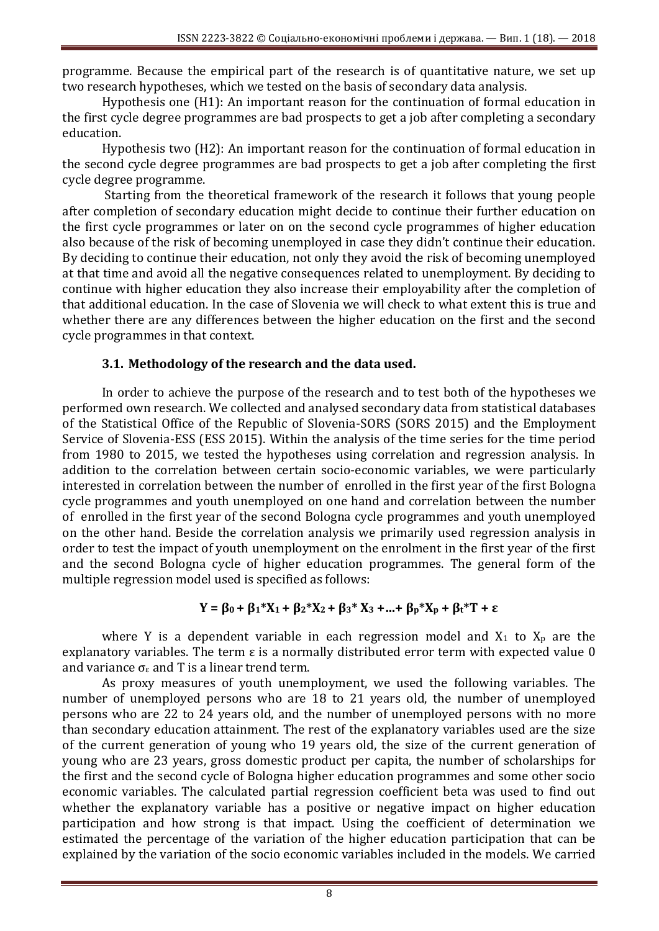programme. Because the empirical part of the research is of quantitative nature, we set up two research hypotheses, which we tested on the basis of secondary data analysis.

Hypothesis one (H1): An important reason for the continuation of formal education in the first cycle degree programmes are bad prospects to get a job after completing a secondary education.

Hypothesis two (H2): An important reason for the continuation of formal education in the second cycle degree programmes are bad prospects to get a job after completing the first cycle degree programme.

Starting from the theoretical framework of the research it follows that young people after completion of secondary education might decide to continue their further education on the first cycle programmes or later on on the second cycle programmes of higher education also because of the risk of becoming unemployed in case they didn't continue their education. By deciding to continue their education, not only they avoid the risk of becoming unemployed at that time and avoid all the negative consequences related to unemployment. By deciding to continue with higher education they also increase their employability after the completion of that additional education. In the case of Slovenia we will check to what extent this is true and whether there are any differences between the higher education on the first and the second cycle programmes in that context.

## **3.1. Methodology of the research and the data used.**

In order to achieve the purpose of the research and to test both of the hypotheses we performed own research. We collected and analysed secondary data from statistical databases of the Statistical Office of the Republic of Slovenia-SORS (SORS 2015) and the Employment Service of Slovenia-ESS (ESS 2015). Within the analysis of the time series for the time period from 1980 to 2015, we tested the hypotheses using correlation and regression analysis. In addition to the correlation between certain socio-economic variables, we were particularly interested in correlation between the number of enrolled in the first year of the first Bologna cycle programmes and youth unemployed on one hand and correlation between the number of enrolled in the first year of the second Bologna cycle programmes and youth unemployed on the other hand. Beside the correlation analysis we primarily used regression analysis in order to test the impact of youth unemployment on the enrolment in the first year of the first and the second Bologna cycle of higher education programmes. The general form of the multiple regression model used is specified as follows:

$$
Y = \beta_0 + \beta_1 * X_1 + \beta_2 * X_2 + \beta_3 * X_3 + ... + \beta_p * X_p + \beta_t * T + \epsilon
$$

where Y is a dependent variable in each regression model and  $X_1$  to  $X_p$  are the explanatory variables. The term ε is a normally distributed error term with expected value 0 and variance  $\sigma_{\epsilon}$  and T is a linear trend term.

As proxy measures of youth unemployment, we used the following variables. The number of unemployed persons who are 18 to 21 years old, the number of unemployed persons who are 22 to 24 years old, and the number of unemployed persons with no more than secondary education attainment. The rest of the explanatory variables used are the size of the current generation of young who 19 years old, the size of the current generation of young who are 23 years, gross domestic product per capita, the number of scholarships for the first and the second cycle of Bologna higher education programmes and some other socio economic variables. The calculated partial regression coefficient beta was used to find out whether the explanatory variable has a positive or negative impact on higher education participation and how strong is that impact. Using the coefficient of determination we estimated the percentage of the variation of the higher education participation that can be explained by the variation of the socio economic variables included in the models. We carried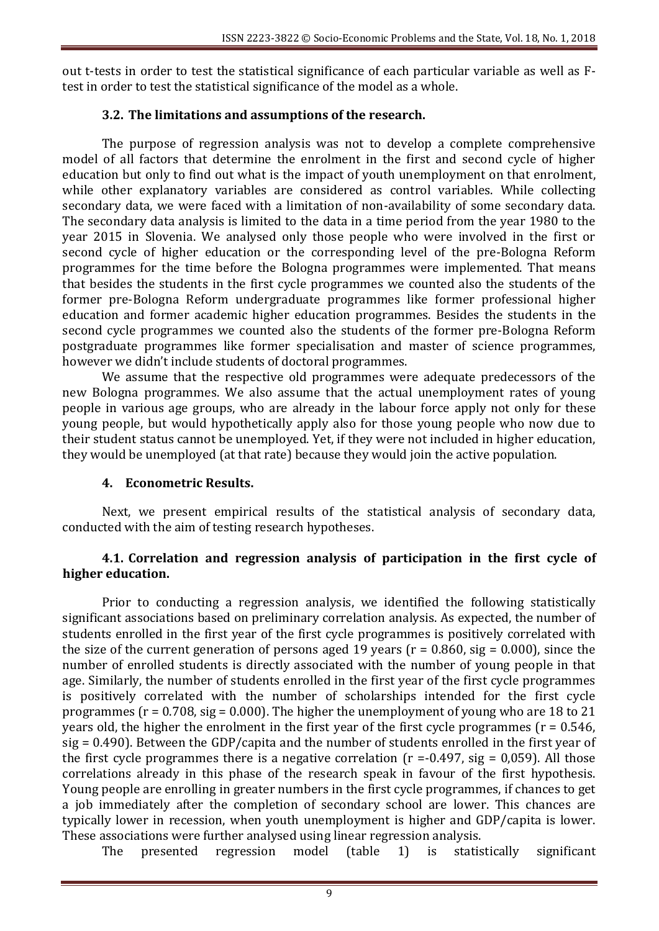out t-tests in order to test the statistical significance of each particular variable as well as Ftest in order to test the statistical significance of the model as a whole.

## **3.2. The limitations and assumptions of the research.**

The purpose of regression analysis was not to develop a complete comprehensive model of all factors that determine the enrolment in the first and second cycle of higher education but only to find out what is the impact of youth unemployment on that enrolment, while other explanatory variables are considered as control variables. While collecting secondary data, we were faced with a limitation of non-availability of some secondary data. The secondary data analysis is limited to the data in a time period from the year 1980 to the year 2015 in Slovenia. We analysed only those people who were involved in the first or second cycle of higher education or the corresponding level of the pre-Bologna Reform programmes for the time before the Bologna programmes were implemented. That means that besides the students in the first cycle programmes we counted also the students of the former pre-Bologna Reform undergraduate programmes like former professional higher education and former academic higher education programmes. Besides the students in the second cycle programmes we counted also the students of the former pre-Bologna Reform postgraduate programmes like former specialisation and master of science programmes, however we didn't include students of doctoral programmes.

We assume that the respective old programmes were adequate predecessors of the new Bologna programmes. We also assume that the actual unemployment rates of young people in various age groups, who are already in the labour force apply not only for these young people, but would hypothetically apply also for those young people who now due to their student status cannot be unemployed. Yet, if they were not included in higher education, they would be unemployed (at that rate) because they would join the active population.

## **4. Econometric Results.**

Next, we present empirical results of the statistical analysis of secondary data, conducted with the aim of testing research hypotheses.

## **4.1. Correlation and regression analysis of participation in the first cycle of higher education.**

Prior to conducting a regression analysis, we identified the following statistically significant associations based on preliminary correlation analysis. As expected, the number of students enrolled in the first year of the first cycle programmes is positively correlated with the size of the current generation of persons aged 19 years ( $r = 0.860$ , sig = 0.000), since the number of enrolled students is directly associated with the number of young people in that age. Similarly, the number of students enrolled in the first year of the first cycle programmes is positively correlated with the number of scholarships intended for the first cycle programmes ( $r = 0.708$ , sig = 0.000). The higher the unemployment of young who are 18 to 21 years old, the higher the enrolment in the first year of the first cycle programmes ( $r = 0.546$ , sig = 0.490). Between the GDP/capita and the number of students enrolled in the first year of the first cycle programmes there is a negative correlation ( $r = -0.497$ , sig = 0,059). All those correlations already in this phase of the research speak in favour of the first hypothesis. Young people are enrolling in greater numbers in the first cycle programmes, if chances to get a job immediately after the completion of secondary school are lower. This chances are typically lower in recession, when youth unemployment is higher and GDP/capita is lower. These associations were further analysed using linear regression analysis.

The presented regression model (table 1) is statistically significant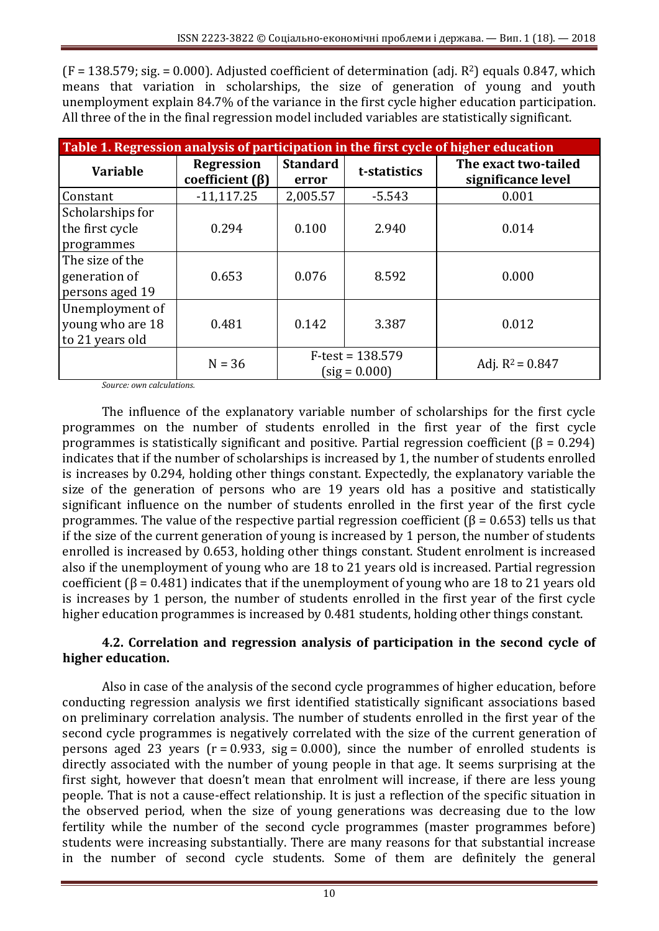$(F = 138.579; sig = 0.000)$ . Adjusted coefficient of determination (adj.  $R^2$ ) equals 0.847, which means that variation in scholarships, the size of generation of young and youth unemployment explain 84.7% of the variance in the first cycle higher education participation. All three of the in the final regression model included variables are statistically significant.

| Table 1. Regression analysis of participation in the first cycle of higher education |                                            |                                       |              |                                            |  |  |  |  |
|--------------------------------------------------------------------------------------|--------------------------------------------|---------------------------------------|--------------|--------------------------------------------|--|--|--|--|
| <b>Variable</b>                                                                      | <b>Regression</b><br>coefficient $(\beta)$ | <b>Standard</b><br>error              | t-statistics | The exact two-tailed<br>significance level |  |  |  |  |
| Constant                                                                             | $-11,117.25$                               | 2,005.57                              | $-5.543$     | 0.001                                      |  |  |  |  |
| Scholarships for<br>the first cycle<br>programmes                                    | 0.294                                      | 0.100                                 | 2.940        | 0.014                                      |  |  |  |  |
| The size of the<br>generation of<br>persons aged 19                                  | 0.653                                      | 0.076                                 | 8.592        | 0.000                                      |  |  |  |  |
| Unemployment of<br>young who are 18<br>to 21 years old                               | 0.481                                      | 0.142                                 | 3.387        | 0.012                                      |  |  |  |  |
|                                                                                      | $N = 36$                                   | $F-test = 138.579$<br>$(sig = 0.000)$ |              | Adj. $R^2 = 0.847$                         |  |  |  |  |

*Source: own calculations.*

The influence of the explanatory variable number of scholarships for the first cycle programmes on the number of students enrolled in the first year of the first cycle programmes is statistically significant and positive. Partial regression coefficient ( $\beta$  = 0.294) indicates that if the number of scholarships is increased by 1, the number of students enrolled is increases by 0.294, holding other things constant. Expectedly, the explanatory variable the size of the generation of persons who are 19 years old has a positive and statistically significant influence on the number of students enrolled in the first year of the first cycle programmes. The value of the respective partial regression coefficient ( $\beta$  = 0.653) tells us that if the size of the current generation of young is increased by 1 person, the number of students enrolled is increased by 0.653, holding other things constant. Student enrolment is increased also if the unemployment of young who are 18 to 21 years old is increased. Partial regression coefficient ( $\beta$  = 0.481) indicates that if the unemployment of young who are 18 to 21 years old is increases by 1 person, the number of students enrolled in the first year of the first cycle higher education programmes is increased by 0.481 students, holding other things constant.

# **4.2. Correlation and regression analysis of participation in the second cycle of higher education.**

Also in case of the analysis of the second cycle programmes of higher education, before conducting regression analysis we first identified statistically significant associations based on preliminary correlation analysis. The number of students enrolled in the first year of the second cycle programmes is negatively correlated with the size of the current generation of persons aged 23 years ( $r = 0.933$ , sig = 0.000), since the number of enrolled students is directly associated with the number of young people in that age. It seems surprising at the first sight, however that doesn't mean that enrolment will increase, if there are less young people. That is not a cause-effect relationship. It is just a reflection of the specific situation in the observed period, when the size of young generations was decreasing due to the low fertility while the number of the second cycle programmes (master programmes before) students were increasing substantially. There are many reasons for that substantial increase in the number of second cycle students. Some of them are definitely the general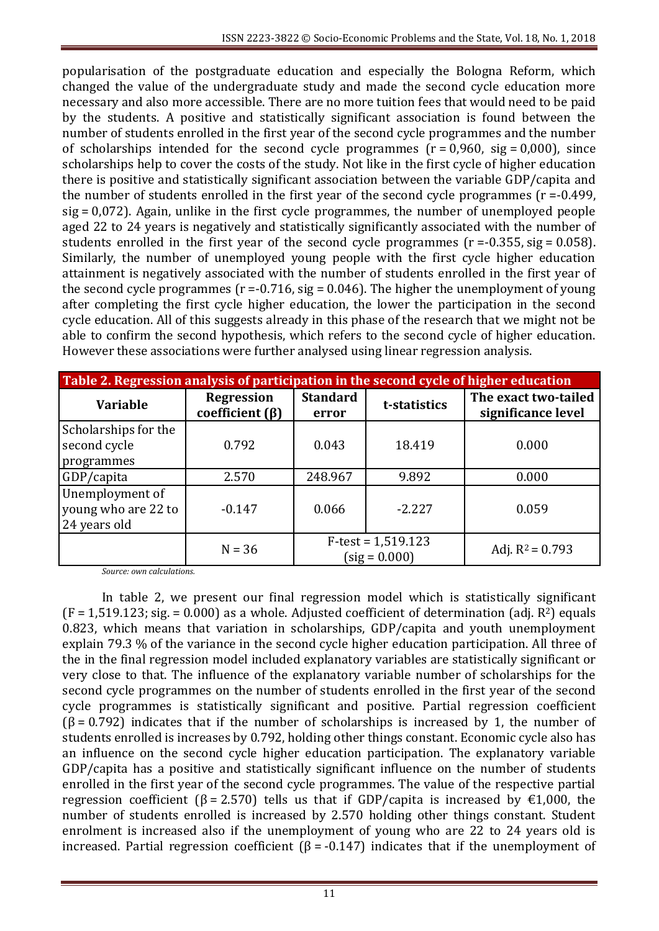popularisation of the postgraduate education and especially the Bologna Reform, which changed the value of the undergraduate study and made the second cycle education more necessary and also more accessible. There are no more tuition fees that would need to be paid by the students. A positive and statistically significant association is found between the number of students enrolled in the first year of the second cycle programmes and the number of scholarships intended for the second cycle programmes  $(r = 0.960, sig = 0.000)$ , since scholarships help to cover the costs of the study. Not like in the first cycle of higher education there is positive and statistically significant association between the variable GDP/capita and the number of students enrolled in the first year of the second cycle programmes (r =-0.499, sig = 0,072). Again, unlike in the first cycle programmes, the number of unemployed people aged 22 to 24 years is negatively and statistically significantly associated with the number of students enrolled in the first year of the second cycle programmes  $(r = 0.355, sig = 0.058)$ . Similarly, the number of unemployed young people with the first cycle higher education attainment is negatively associated with the number of students enrolled in the first year of the second cycle programmes ( $r = -0.716$ , sig = 0.046). The higher the unemployment of young after completing the first cycle higher education, the lower the participation in the second cycle education. All of this suggests already in this phase of the research that we might not be able to confirm the second hypothesis, which refers to the second cycle of higher education. However these associations were further analysed using linear regression analysis.

| Table 2. Regression analysis of participation in the second cycle of higher education |                                            |                                         |              |                                            |  |  |
|---------------------------------------------------------------------------------------|--------------------------------------------|-----------------------------------------|--------------|--------------------------------------------|--|--|
| <b>Variable</b>                                                                       | <b>Regression</b><br>coefficient $(\beta)$ | <b>Standard</b><br>error                | t-statistics | The exact two-tailed<br>significance level |  |  |
| Scholarships for the<br>second cycle<br>programmes                                    | 0.792                                      | 0.043                                   | 18.419       | 0.000                                      |  |  |
| GDP/capita                                                                            | 2.570                                      | 248.967                                 | 9.892        | 0.000                                      |  |  |
| Unemployment of<br>young who are 22 to<br>24 years old                                | $-0.147$                                   | 0.066                                   | $-2.227$     | 0.059                                      |  |  |
|                                                                                       | $N = 36$                                   | $F-test = 1,519.123$<br>$(sig = 0.000)$ |              | Adj. $R^2 = 0.793$                         |  |  |

*Source: own calculations.*

In table 2, we present our final regression model which is statistically significant  $(F = 1.519.123; sig = 0.000)$  as a whole. Adjusted coefficient of determination (adj.  $R^2$ ) equals 0.823, which means that variation in scholarships, GDP/capita and youth unemployment explain 79.3 % of the variance in the second cycle higher education participation. All three of the in the final regression model included explanatory variables are statistically significant or very close to that. The influence of the explanatory variable number of scholarships for the second cycle programmes on the number of students enrolled in the first year of the second cycle programmes is statistically significant and positive. Partial regression coefficient  $(β = 0.792)$  indicates that if the number of scholarships is increased by 1, the number of students enrolled is increases by 0.792, holding other things constant. Economic cycle also has an influence on the second cycle higher education participation. The explanatory variable GDP/capita has a positive and statistically significant influence on the number of students enrolled in the first year of the second cycle programmes. The value of the respective partial regression coefficient ( $\beta$  = 2.570) tells us that if GDP/capita is increased by €1,000, the number of students enrolled is increased by 2.570 holding other things constant. Student enrolment is increased also if the unemployment of young who are 22 to 24 years old is increased. Partial regression coefficient ( $\beta$  = -0.147) indicates that if the unemployment of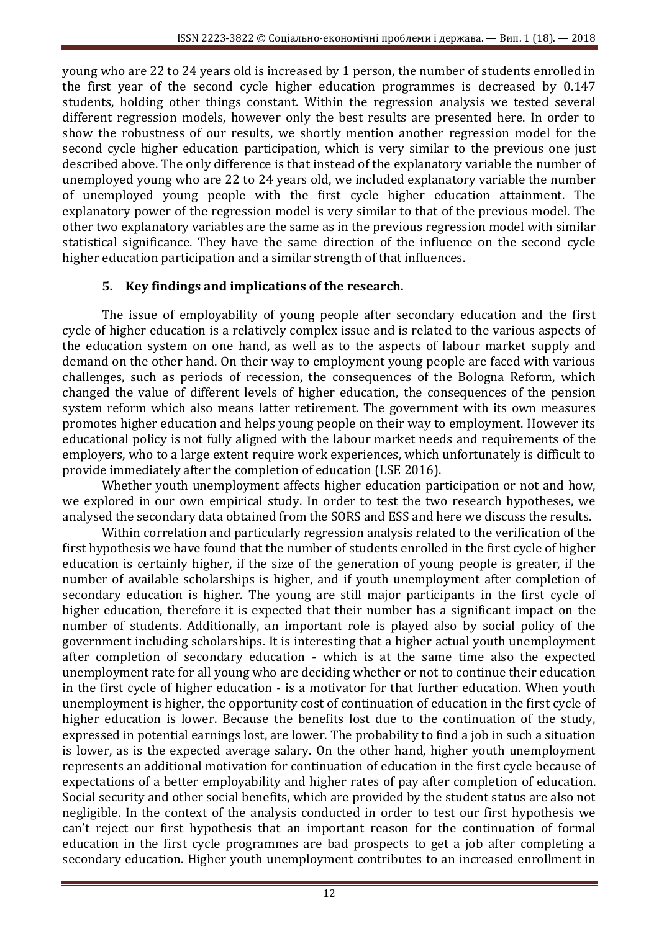young who are 22 to 24 years old is increased by 1 person, the number of students enrolled in the first year of the second cycle higher education programmes is decreased by 0.147 students, holding other things constant. Within the regression analysis we tested several different regression models, however only the best results are presented here. In order to show the robustness of our results, we shortly mention another regression model for the second cycle higher education participation, which is very similar to the previous one just described above. The only difference is that instead of the explanatory variable the number of unemployed young who are 22 to 24 years old, we included explanatory variable the number of unemployed young people with the first cycle higher education attainment. The explanatory power of the regression model is very similar to that of the previous model. The other two explanatory variables are the same as in the previous regression model with similar statistical significance. They have the same direction of the influence on the second cycle higher education participation and a similar strength of that influences.

# **5. Key findings and implications of the research.**

The issue of employability of young people after secondary education and the first cycle of higher education is a relatively complex issue and is related to the various aspects of the education system on one hand, as well as to the aspects of labour market supply and demand on the other hand. On their way to employment young people are faced with various challenges, such as periods of recession, the consequences of the Bologna Reform, which changed the value of different levels of higher education, the consequences of the pension system reform which also means latter retirement. The government with its own measures promotes higher education and helps young people on their way to employment. However its educational policy is not fully aligned with the labour market needs and requirements of the employers, who to a large extent require work experiences, which unfortunately is difficult to provide immediately after the completion of education (LSE 2016).

Whether youth unemployment affects higher education participation or not and how, we explored in our own empirical study. In order to test the two research hypotheses, we analysed the secondary data obtained from the SORS and ESS and here we discuss the results.

Within correlation and particularly regression analysis related to the verification of the first hypothesis we have found that the number of students enrolled in the first cycle of higher education is certainly higher, if the size of the generation of young people is greater, if the number of available scholarships is higher, and if youth unemployment after completion of secondary education is higher. The young are still major participants in the first cycle of higher education, therefore it is expected that their number has a significant impact on the number of students. Additionally, an important role is played also by social policy of the government including scholarships. It is interesting that a higher actual youth unemployment after completion of secondary education - which is at the same time also the expected unemployment rate for all young who are deciding whether or not to continue their education in the first cycle of higher education - is a motivator for that further education. When youth unemployment is higher, the opportunity cost of continuation of education in the first cycle of higher education is lower. Because the benefits lost due to the continuation of the study, expressed in potential earnings lost, are lower. The probability to find a job in such a situation is lower, as is the expected average salary. On the other hand, higher youth unemployment represents an additional motivation for continuation of education in the first cycle because of expectations of a better employability and higher rates of pay after completion of education. Social security and other social benefits, which are provided by the student status are also not negligible. In the context of the analysis conducted in order to test our first hypothesis we can't reject our first hypothesis that an important reason for the continuation of formal education in the first cycle programmes are bad prospects to get a job after completing a secondary education. Higher youth unemployment contributes to an increased enrollment in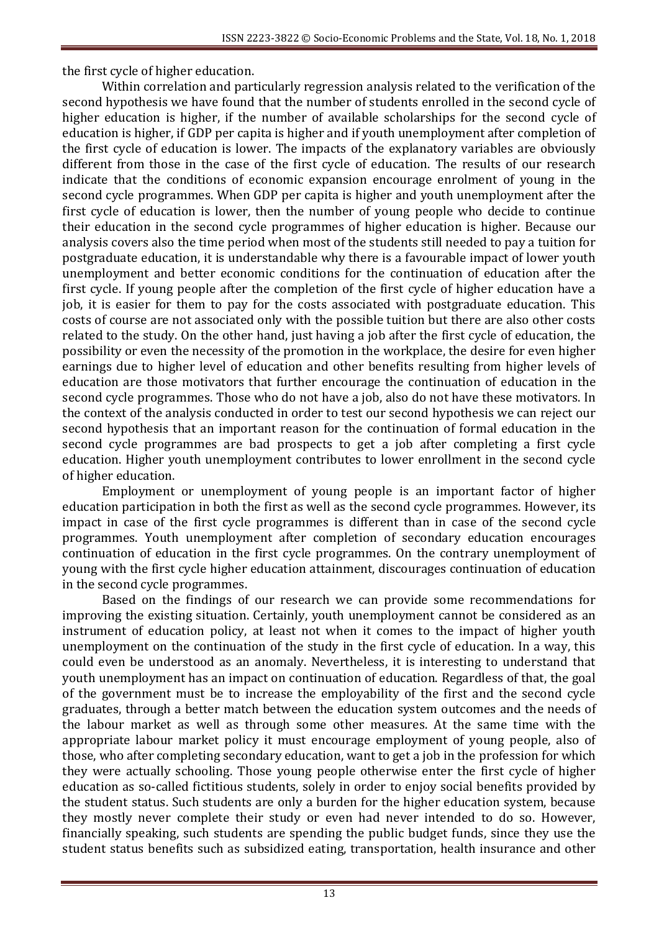the first cycle of higher education.

Within correlation and particularly regression analysis related to the verification of the second hypothesis we have found that the number of students enrolled in the second cycle of higher education is higher, if the number of available scholarships for the second cycle of education is higher, if GDP per capita is higher and if youth unemployment after completion of the first cycle of education is lower. The impacts of the explanatory variables are obviously different from those in the case of the first cycle of education. The results of our research indicate that the conditions of economic expansion encourage enrolment of young in the second cycle programmes. When GDP per capita is higher and youth unemployment after the first cycle of education is lower, then the number of young people who decide to continue their education in the second cycle programmes of higher education is higher. Because our analysis covers also the time period when most of the students still needed to pay a tuition for postgraduate education, it is understandable why there is a favourable impact of lower youth unemployment and better economic conditions for the continuation of education after the first cycle. If young people after the completion of the first cycle of higher education have a job, it is easier for them to pay for the costs associated with postgraduate education. This costs of course are not associated only with the possible tuition but there are also other costs related to the study. On the other hand, just having a job after the first cycle of education, the possibility or even the necessity of the promotion in the workplace, the desire for even higher earnings due to higher level of education and other benefits resulting from higher levels of education are those motivators that further encourage the continuation of education in the second cycle programmes. Those who do not have a job, also do not have these motivators. In the context of the analysis conducted in order to test our second hypothesis we can reject our second hypothesis that an important reason for the continuation of formal education in the second cycle programmes are bad prospects to get a job after completing a first cycle education. Higher youth unemployment contributes to lower enrollment in the second cycle of higher education.

Employment or unemployment of young people is an important factor of higher education participation in both the first as well as the second cycle programmes. However, its impact in case of the first cycle programmes is different than in case of the second cycle programmes. Youth unemployment after completion of secondary education encourages continuation of education in the first cycle programmes. On the contrary unemployment of young with the first cycle higher education attainment, discourages continuation of education in the second cycle programmes.

Based on the findings of our research we can provide some recommendations for improving the existing situation. Certainly, youth unemployment cannot be considered as an instrument of education policy, at least not when it comes to the impact of higher youth unemployment on the continuation of the study in the first cycle of education. In a way, this could even be understood as an anomaly. Nevertheless, it is interesting to understand that youth unemployment has an impact on continuation of education. Regardless of that, the goal of the government must be to increase the employability of the first and the second cycle graduates, through a better match between the education system outcomes and the needs of the labour market as well as through some other measures. At the same time with the appropriate labour market policy it must encourage employment of young people, also of those, who after completing secondary education, want to get a job in the profession for which they were actually schooling. Those young people otherwise enter the first cycle of higher education as so-called fictitious students, solely in order to enjoy social benefits provided by the student status. Such students are only a burden for the higher education system, because they mostly never complete their study or even had never intended to do so. However, financially speaking, such students are spending the public budget funds, since they use the student status benefits such as subsidized eating, transportation, health insurance and other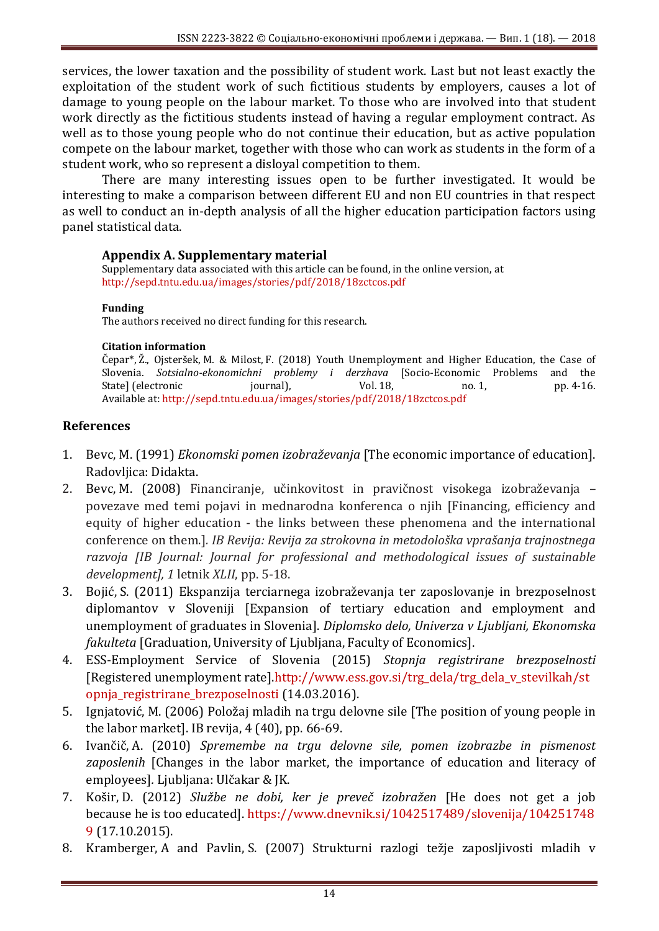services, the lower taxation and the possibility of student work. Last but not least exactly the exploitation of the student work of such fictitious students by employers, causes a lot of damage to young people on the labour market. To those who are involved into that student work directly as the fictitious students instead of having a regular employment contract. As well as to those young people who do not continue their education, but as active population compete on the labour market, together with those who can work as students in the form of a student work, who so represent a disloyal competition to them.

There are many interesting issues open to be further investigated. It would be interesting to make a comparison between different EU and non EU countries in that respect as well to conduct an in-depth analysis of all the higher education participation factors using panel statistical data.

#### **Appendix A. Supplementary material**

Supplementary data associated with this article can be found, in the online version, at http://sepd.tntu.edu.ua/images/stories/pdf/2018/18zctcos.pdf

#### **Funding**

The authors received no direct funding for this research.

#### **Citation information**

Čepar\*, Ž., Ojsteršek, M. & Milost, F. (2018) Youth Unemployment and Higher Education, the Case of Slovenia. *Sotsialno-ekonomichni problemy i derzhava* [Socio-Economic Problems and the State] (electronic iournal), Vol. 18, no. 1, pp. 4-16. Available at: http://sepd.tntu.edu.ua/images/stories/pdf/2018/18zctcos.pdf

## **References**

- 1. Bevc, M. (1991) *Ekonomski pomen izobraževanja* [The economic importance of education]. Radovljica: Didakta.
- 2. Bevc, M. (2008) Financiranje, učinkovitost in pravičnost visokega izobraževanja povezave med temi pojavi in mednarodna konferenca o njih [Financing, efficiency and equity of higher education - the links between these phenomena and the international conference on them.]*. IB Revija: Revija za strokovna in metodološka vprašanja trajnostnega razvoja [IB Journal: Journal for professional and methodological issues of sustainable development], 1* letnik *XLII*, pp. 5-18.
- 3. Bojić, S. (2011) Ekspanzija terciarnega izobraževanja ter zaposlovanje in brezposelnost diplomantov v Sloveniji [Expansion of tertiary education and employment and unemployment of graduates in Slovenia]. *Diplomsko delo, Univerza v Ljubljani, Ekonomska fakulteta* [Graduation, University of Ljubljana, Faculty of Economics].
- 4. ESS-Employment Service of Slovenia (2015) *Stopnja registrirane brezposelnosti* [Registered unemployment rate].http://www.ess.gov.si/trg\_dela/trg\_dela\_v\_stevilkah/st opnja\_registrirane\_brezposelnosti (14.03.2016).
- 5. Ignjatović, M. (2006) Položaj mladih na trgu delovne sile [The position of young people in the labor market]. IB revija, 4 (40), pp. 66-69.
- 6. Ivančič, A. (2010) *Spremembe na trgu delovne sile, pomen izobrazbe in pismenost zaposlenih* [Changes in the labor market, the importance of education and literacy of employees]*.* Ljubljana: Ulčakar & JK.
- 7. Košir, D. (2012) *Službe ne dobi, ker je preveč izobražen* [He does not get a job because he is too educated]. https://www.dnevnik.si/1042517489/slovenija/104251748 9 (17.10.2015).
- 8. Kramberger, A and Pavlin, S. (2007) Strukturni razlogi težje zaposljivosti mladih v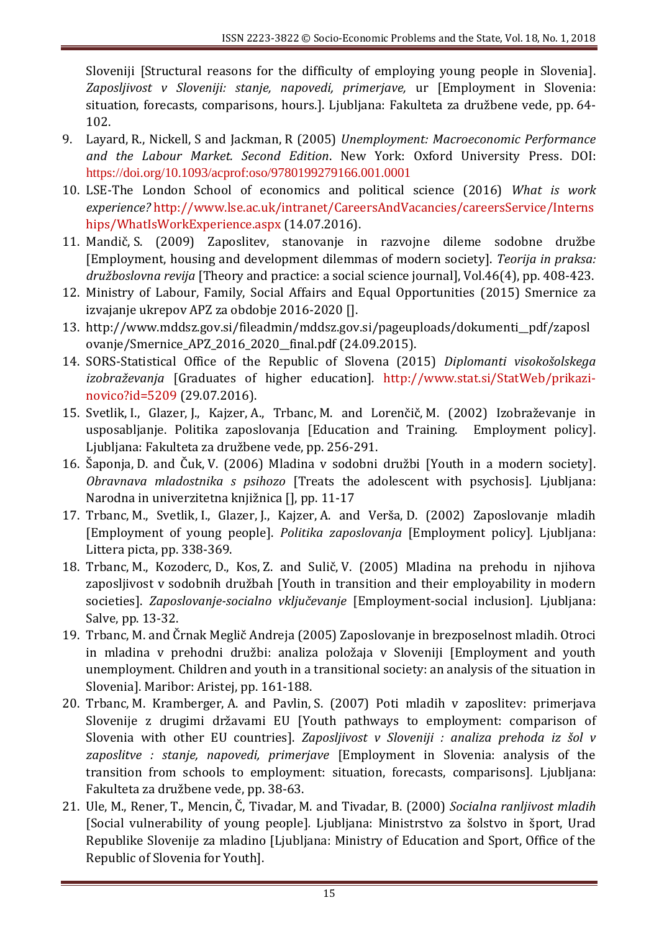Sloveniji [Structural reasons for the difficulty of employing young people in Slovenia]. *Zaposljivost v Sloveniji: stanje, napovedi, primerjave,* ur [Employment in Slovenia: situation, forecasts, comparisons, hours.]. Ljubljana: Fakulteta za družbene vede, pp. 64- 102.

- 9. Layard, R., Nickell, S and Jackman, R (2005) *Unemployment: Macroeconomic Performance and the Labour Market. Second Edition*. New York: Oxford University Press. DOI: https://doi.org/10.1093/acprof:oso/9780199279166.001.0001
- 10. LSE-The London School of economics and political science (2016) *What is work experience?* http://www.lse.ac.uk/intranet/CareersAndVacancies/careersService/Interns hips/WhatIsWorkExperience.aspx (14.07.2016).
- 11. Mandič, S. (2009) Zaposlitev, stanovanje in razvojne dileme sodobne družbe [Employment, housing and development dilemmas of modern society]. *Teorija in praksa: družboslovna revija* [Theory and practice: a social science journal], Vol.46(4), pp. 408-423.
- 12. Ministry of Labour, Family, Social Affairs and Equal Opportunities (2015) Smernice za izvajanje ukrepov APZ za obdobje 2016-2020 [].
- 13. http://www.mddsz.gov.si/fileadmin/mddsz.gov.si/pageuploads/dokumenti\_\_pdf/zaposl ovanje/Smernice\_APZ\_2016\_2020\_\_final.pdf (24.09.2015).
- 14. SORS-Statistical Office of the Republic of Slovena (2015) *Diplomanti visokošolskega izobraževanja* [Graduates of higher education]*.* http://www.stat.si/StatWeb/prikazinovico?id=5209 (29.07.2016).
- 15. Svetlik, I., Glazer, J., Kajzer, A., Trbanc, M. and Lorenčič, M. (2002) Izobraževanje in usposabljanje. Politika zaposlovanja [Education and Training. Employment policy]. Ljubljana: Fakulteta za družbene vede, pp. 256-291.
- 16. Šaponja, D. and Čuk, V. (2006) Mladina v sodobni družbi [Youth in a modern society]. *Obravnava mladostnika s psihozo* [Treats the adolescent with psychosis]*.* Ljubljana: Narodna in univerzitetna knjižnica [], pp. 11-17
- 17. Trbanc, M., Svetlik, I., Glazer, J., Kajzer, A. and Verša, D. (2002) Zaposlovanje mladih [Employment of young people]. *Politika zaposlovanja* [Employment policy]*.* Ljubljana: Littera picta, pp. 338-369.
- 18. Trbanc, M., Kozoderc, D., Kos, Z. and Sulič, V. (2005) Mladina na prehodu in njihova zaposljivost v sodobnih družbah [Youth in transition and their employability in modern societies]. *Zaposlovanje-socialno vključevanje* [Employment-social inclusion]*.* Ljubljana: Salve, pp. 13-32.
- 19. Trbanc, M. and Črnak Meglič Andreja (2005) Zaposlovanje in brezposelnost mladih. Otroci in mladina v prehodni družbi: analiza položaja v Sloveniji [Employment and youth unemployment. Children and youth in a transitional society: an analysis of the situation in Slovenia]. Maribor: Aristej, pp. 161-188.
- 20. Trbanc, M. Kramberger, A. and Pavlin, S. (2007) Poti mladih v zaposlitev: primerjava Slovenije z drugimi državami EU [Youth pathways to employment: comparison of Slovenia with other EU countries]. *Zaposljivost v Sloveniji : analiza prehoda iz šol v zaposlitve : stanje, napovedi, primerjave* [Employment in Slovenia: analysis of the transition from schools to employment: situation, forecasts, comparisons]*.* Ljubljana: Fakulteta za družbene vede, pp. 38-63.
- 21. Ule, M., Rener, T., Mencin, Č, Tivadar, M. and Tivadar, B. (2000) *Socialna ranljivost mladih* [Social vulnerability of young people]*.* Ljubljana: Ministrstvo za šolstvo in šport, Urad Republike Slovenije za mladino [Ljubljana: Ministry of Education and Sport, Office of the Republic of Slovenia for Youth].